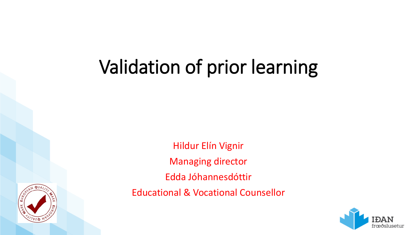# Validation of prior learning



Hildur Elín Vignir Managing director Edda Jóhannesdóttir Educational & Vocational Counsellor

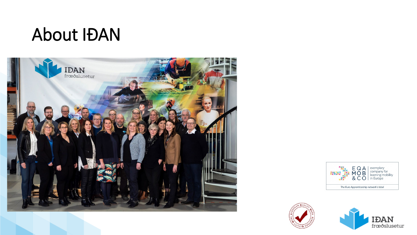### About IÐAN







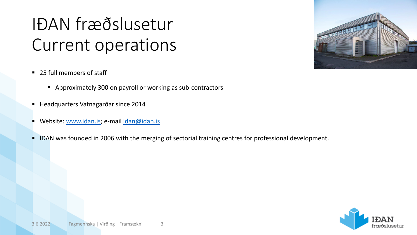# IÐAN fræðslusetur Current operations

- 25 full members of staff
	- Approximately 300 on payroll or working as sub-contractors
- Headquarters Vatnagarðar since 2014
- Website: [www.idan.is;](http://www.idan.is/) e-mail [idan@idan.is](mailto:idan@idan.is)
- IĐAN was founded in 2006 with the merging of sectorial training centres for professional development.





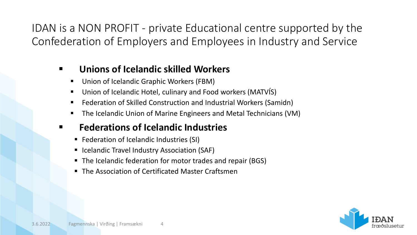IDAN is a NON PROFIT - private Educational centre supported by the Confederation of Employers and Employees in Industry and Service

#### **Unions of Icelandic skilled Workers**

- Union of Icelandic Graphic Workers (FBM)
- Union of Icelandic Hotel, culinary and Food workers (MATVIS)
- Federation of Skilled Construction and Industrial Workers (Samidn)
- The Icelandic Union of Marine Engineers and Metal Technicians (VM)

#### **Federations of Icelandic Industries**

- Federation of Icelandic Industries (SI)
- **E** Icelandic Travel Industry Association (SAF)
- The Icelandic federation for motor trades and repair (BGS)
- The Association of Certificated Master Craftsmen

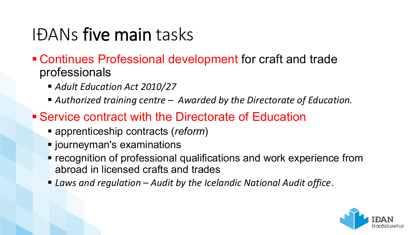### IÐANs five main tasks

- Continues Professional development for craft and trade professionals
	- *Adult Education Act 2010/27*
	- *Authorized training centre – Awarded by the Directorate of Education.*
- Service contract with the Directorate of Education
	- apprenticeship contracts (*reform*)
	- $\blacksquare$  journeyman's examinations
	- **recognition of professional qualifications and work experience from** abroad in licensed crafts and trades
	- *Laws and regulation – Audit by the Icelandic National Audit office*.

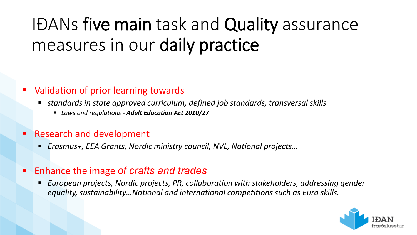# IÐANs five main task and Quality assurance measures in our daily practice

#### Validation of prior learning towards

- *standards in state approved curriculum, defined job standards, transversal skills*
	- *Laws and regulations - Adult Education Act 2010/27*
- Research and development
	- *Erasmus+, EEA Grants, Nordic ministry council, NVL, National projects…*
- Enhance the image *of crafts and trades*
	- *European projects, Nordic projects, PR, collaboration with stakeholders, addressing gender equality, sustainability…National and international competitions such as Euro skills.*

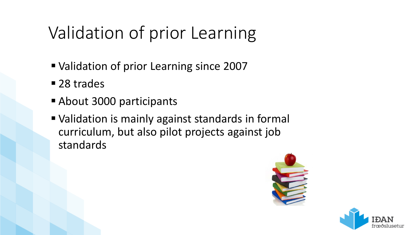### Validation of prior Learning

- Validation of prior Learning since 2007
- 28 trades
- **About 3000 participants**
- Validation is mainly against standards in formal curriculum, but also pilot projects against job standards



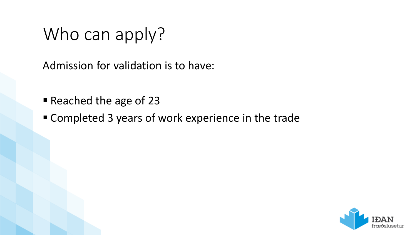### Who can apply?

Admission for validation is to have:

- Reached the age of 23
- Completed 3 years of work experience in the trade

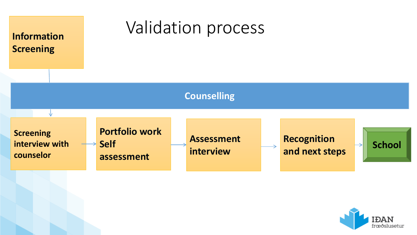

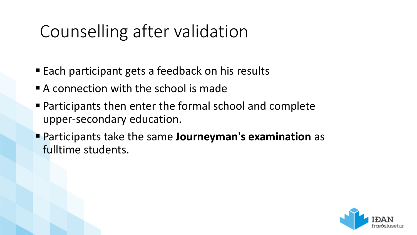### Counselling after validation

- Each participant gets a feedback on his results
- **A** connection with the school is made
- Participants then enter the formal school and complete upper-secondary education.
- Participants take the same **Journeyman's examination** as fulltime students.

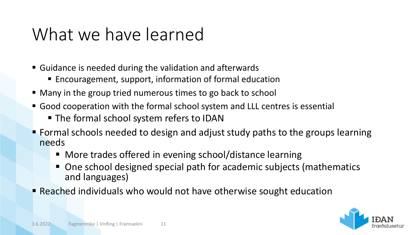### What we have learned

- Guidance is needed during the validation and afterwards
	- Encouragement, support, information of formal education
- Many in the group tried numerous times to go back to school
- Good cooperation with the formal school system and LLL centres is essential
	- The formal school system refers to IDAN
- **Fight** Formal schools needed to design and adjust study paths to the groups learning needs
	- More trades offered in evening school/distance learning
	- One school designed special path for academic subjects (mathematics and languages)
- **P** Reached individuals who would not have otherwise sought education

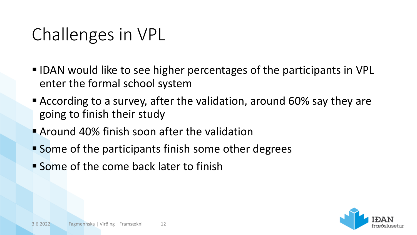### Challenges in VPL

- IDAN would like to see higher percentages of the participants in VPL enter the formal school system
- According to a survey, after the validation, around 60% say they are going to finish their study
- **Around 40% finish soon after the validation**
- Some of the participants finish some other degrees
- **Some of the come back later to finish**

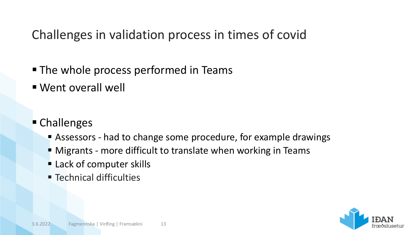Challenges in validation process in times of covid

- The whole process performed in Teams
- Went overall well
- **Challenges** 
	- Assessors had to change some procedure, for example drawings
	- **Migrants more difficult to translate when working in Teams**
	- **Example 1 Lack of computer skills**
	- **Exercice 1 Technical difficulties**